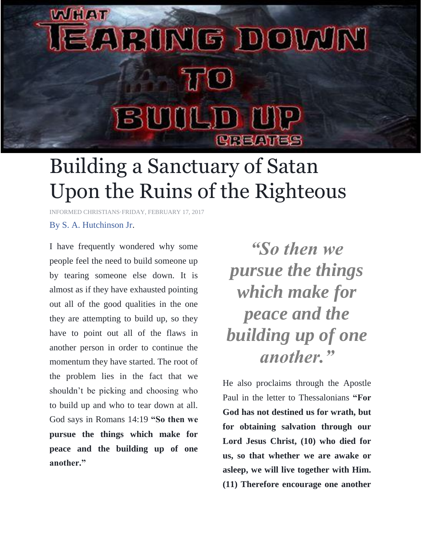## **WVIHLATE** EARING DOM/N  $\eta^{\prime}(0)$ BUILD UP CREATES

## Building a Sanctuary of Satan Upon the Ruins of the Righteous

[INFORMED CHRISTIANS·](https://www.facebook.com/The.Informed.Christian123/)[FRIDAY, FEBRUARY 17,](https://www.facebook.com/notes/informed-christians/building-a-sanctuary-of-satan-upon-the-ruins-of-the-righteous/1132587576867560) 2017

## [By S. A. Hutchinson Jr.](http://www.rgvchurchofchrist.org/)

I have frequently wondered why some people feel the need to build someone up by tearing someone else down. It is almost as if they have exhausted pointing out all of the good qualities in the one they are attempting to build up, so they have to point out all of the flaws in another person in order to continue the momentum they have started. The root of the problem lies in the fact that we shouldn't be picking and choosing who to build up and who to tear down at all. God says in Romans 14:19 **"So then we pursue the things which make for peace and the building up of one another."**

*"So then we pursue the things which make for peace and the building up of one another."*

He also proclaims through the Apostle Paul in the letter to Thessalonians **"For God has not destined us for wrath, but for obtaining salvation through our Lord Jesus Christ, (10) who died for us, so that whether we are awake or asleep, we will live together with Him. (11) Therefore encourage one another**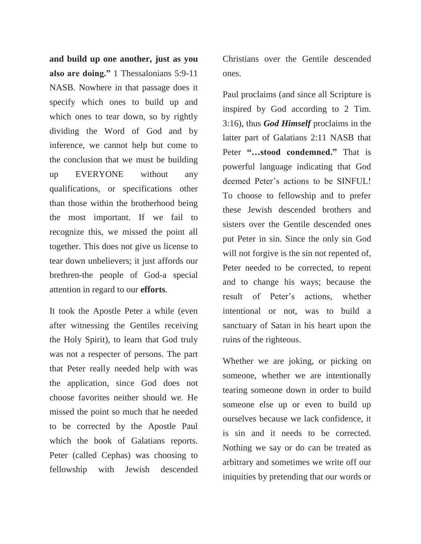**and build up one another, just as you also are doing."** 1 Thessalonians 5:9-11 NASB. Nowhere in that passage does it specify which ones to build up and which ones to tear down, so by rightly dividing the Word of God and by inference, we cannot help but come to the conclusion that we must be building up EVERYONE without any qualifications, or specifications other than those within the brotherhood being the most important. If we fail to recognize this, we missed the point all together. This does not give us license to tear down unbelievers; it just affords our brethren-the people of God-a special attention in regard to our **efforts**.

It took the Apostle Peter a while (even after witnessing the Gentiles receiving the Holy Spirit), to learn that God truly was not a respecter of persons. The part that Peter really needed help with was the application, since God does not choose favorites neither should we. He missed the point so much that he needed to be corrected by the Apostle Paul which the book of Galatians reports. Peter (called Cephas) was choosing to fellowship with Jewish descended Christians over the Gentile descended ones.

Paul proclaims (and since all Scripture is inspired by God according to 2 Tim. 3:16), thus *God Himself* proclaims in the latter part of Galatians 2:11 NASB that Peter **"…stood condemned."** That is powerful language indicating that God deemed Peter's actions to be SINFUL! To choose to fellowship and to prefer these Jewish descended brothers and sisters over the Gentile descended ones put Peter in sin. Since the only sin God will not forgive is the sin not repented of, Peter needed to be corrected, to repent and to change his ways; because the result of Peter's actions, whether intentional or not, was to build a sanctuary of Satan in his heart upon the ruins of the righteous.

Whether we are joking, or picking on someone, whether we are intentionally tearing someone down in order to build someone else up or even to build up ourselves because we lack confidence, it is sin and it needs to be corrected. Nothing we say or do can be treated as arbitrary and sometimes we write off our iniquities by pretending that our words or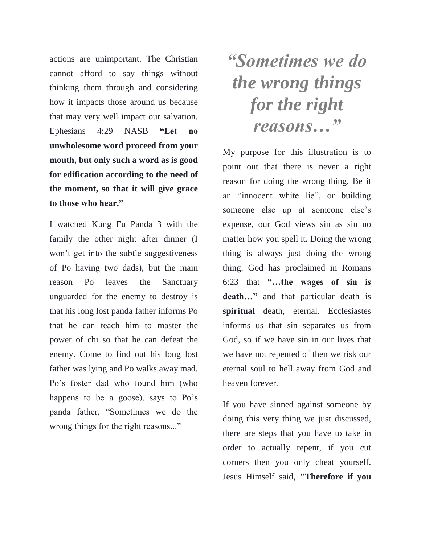actions are unimportant. The Christian cannot afford to say things without thinking them through and considering how it impacts those around us because that may very well impact our salvation. Ephesians 4:29 NASB **"Let no unwholesome word proceed from your mouth, but only such a word as is good for edification according to the need of the moment, so that it will give grace to those who hear."**

I watched Kung Fu Panda 3 with the family the other night after dinner (I won't get into the subtle suggestiveness of Po having two dads), but the main reason Po leaves the Sanctuary unguarded for the enemy to destroy is that his long lost panda father informs Po that he can teach him to master the power of chi so that he can defeat the enemy. Come to find out his long lost father was lying and Po walks away mad. Po's foster dad who found him (who happens to be a goose), says to Po's panda father, "Sometimes we do the wrong things for the right reasons..."

## *"Sometimes we do the wrong things for the right reasons…"*

My purpose for this illustration is to point out that there is never a right reason for doing the wrong thing. Be it an "innocent white lie", or building someone else up at someone else's expense, our God views sin as sin no matter how you spell it. Doing the wrong thing is always just doing the wrong thing. God has proclaimed in Romans 6:23 that **"…the wages of sin is death…"** and that particular death is **spiritual** death, eternal. Ecclesiastes informs us that sin separates us from God, so if we have sin in our lives that we have not repented of then we risk our eternal soul to hell away from God and heaven forever.

If you have sinned against someone by doing this very thing we just discussed, there are steps that you have to take in order to actually repent, if you cut corners then you only cheat yourself. Jesus Himself said, **"Therefore if you**